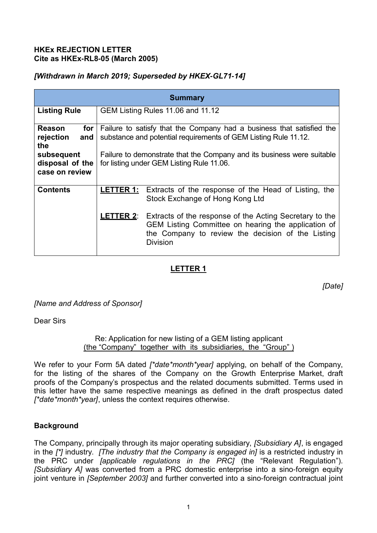### **HKEx REJECTION LETTER Cite as HKEx-RL8-05 (March 2005)**

## *[Withdrawn in March 2019; Superseded by HKEX-GL71-14]*

| <b>Summary</b>                                                                                     |                                                                                                                                                                                                                                                                 |                                                                                                                                                                                                                                                                                                                     |
|----------------------------------------------------------------------------------------------------|-----------------------------------------------------------------------------------------------------------------------------------------------------------------------------------------------------------------------------------------------------------------|---------------------------------------------------------------------------------------------------------------------------------------------------------------------------------------------------------------------------------------------------------------------------------------------------------------------|
| <b>Listing Rule</b>                                                                                | GEM Listing Rules 11.06 and 11.12                                                                                                                                                                                                                               |                                                                                                                                                                                                                                                                                                                     |
| <b>Reason</b><br>for<br>rejection<br>and<br>the<br>subsequent<br>disposal of the<br>case on review | Failure to satisfy that the Company had a business that satisfied the<br>substance and potential requirements of GEM Listing Rule 11.12.<br>Failure to demonstrate that the Company and its business were suitable<br>for listing under GEM Listing Rule 11.06. |                                                                                                                                                                                                                                                                                                                     |
| <b>Contents</b>                                                                                    |                                                                                                                                                                                                                                                                 | <b>LETTER 1:</b> Extracts of the response of the Head of Listing, the<br>Stock Exchange of Hong Kong Ltd<br><b>LETTER 2:</b> Extracts of the response of the Acting Secretary to the<br>GEM Listing Committee on hearing the application of<br>the Company to review the decision of the Listing<br><b>Division</b> |

# **LETTER 1**

*[Date]*

*[Name and Address of Sponsor]*

Dear Sirs

Re: Application for new listing of a GEM listing applicant (the "Company" together with its subsidiaries, the "Group" )

We refer to your Form 5A dated *[\*date\*month\*year]* applying, on behalf of the Company, for the listing of the shares of the Company on the Growth Enterprise Market, draft proofs of the Company's prospectus and the related documents submitted. Terms used in this letter have the same respective meanings as defined in the draft prospectus dated *[\*date\*month\*year]*, unless the context requires otherwise.

## **Background**

The Company, principally through its major operating subsidiary, *[Subsidiary A]*, is engaged in the *[\*]* industry. *[The industry that the Company is engaged in]* is a restricted industry in the PRC under *[applicable regulations in the PRC]* (the "Relevant Regulation"). *[Subsidiary A]* was converted from a PRC domestic enterprise into a sino-foreign equity joint venture in *[September 2003]* and further converted into a sino-foreign contractual joint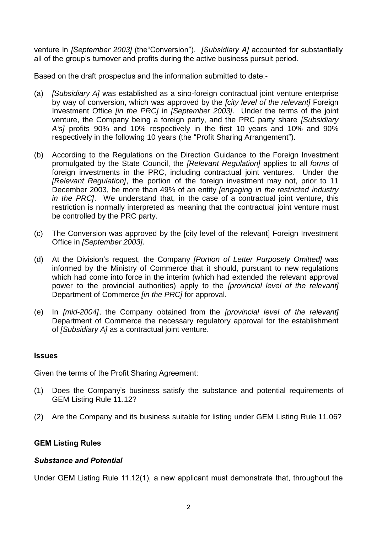venture in *[September 2003]* (the"Conversion"). *[Subsidiary A]* accounted for substantially all of the group's turnover and profits during the active business pursuit period.

Based on the draft prospectus and the information submitted to date:-

- (a) *[Subsidiary A]* was established as a sino-foreign contractual joint venture enterprise by way of conversion, which was approved by the *[city level of the relevant]* Foreign Investment Office *[in the PRC]* in *[September 2003]*. Under the terms of the joint venture, the Company being a foreign party, and the PRC party share *[Subsidiary A's]* profits 90% and 10% respectively in the first 10 years and 10% and 90% respectively in the following 10 years (the "Profit Sharing Arrangement").
- (b) According to the Regulations on the Direction Guidance to the Foreign Investment promulgated by the State Council, the *[Relevant Regulation]* applies to all *forms* of foreign investments in the PRC, including contractual joint ventures. Under the *[Relevant Regulation]*, the portion of the foreign investment may not, prior to 11 December 2003, be more than 49% of an entity *[engaging in the restricted industry in the PRC]*. We understand that, in the case of a contractual joint venture, this restriction is normally interpreted as meaning that the contractual joint venture must be controlled by the PRC party.
- (c) The Conversion was approved by the [city level of the relevant] Foreign Investment Office in *[September 2003]*.
- (d) At the Division's request, the Company *[Portion of Letter Purposely Omitted]* was informed by the Ministry of Commerce that it should, pursuant to new regulations which had come into force in the interim (which had extended the relevant approval power to the provincial authorities) apply to the *[provincial level of the relevant]* Department of Commerce *[in the PRC]* for approval.
- (e) In *[mid-2004]*, the Company obtained from the *[provincial level of the relevant]* Department of Commerce the necessary regulatory approval for the establishment of *[Subsidiary A]* as a contractual joint venture.

### **Issues**

Given the terms of the Profit Sharing Agreement:

- (1) Does the Company's business satisfy the substance and potential requirements of GEM Listing Rule 11.12?
- (2) Are the Company and its business suitable for listing under GEM Listing Rule 11.06?

### **GEM Listing Rules**

#### *Substance and Potential*

Under GEM Listing Rule 11.12(1), a new applicant must demonstrate that, throughout the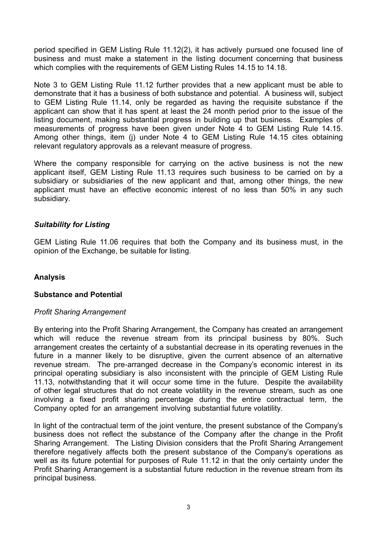period specified in GEM Listing Rule 11.12(2), it has actively pursued one focused line of business and must make a statement in the listing document concerning that business which complies with the requirements of GEM Listing Rules 14.15 to 14.18.

Note 3 to GEM Listing Rule 11.12 further provides that a new applicant must be able to demonstrate that it has a business of both substance and potential. A business will, subject to GEM Listing Rule 11.14, only be regarded as having the requisite substance if the applicant can show that it has spent at least the 24 month period prior to the issue of the listing document, making substantial progress in building up that business. Examples of measurements of progress have been given under Note 4 to GEM Listing Rule 14.15. Among other things, item (j) under Note 4 to GEM Listing Rule 14.15 cites obtaining relevant regulatory approvals as a relevant measure of progress.

Where the company responsible for carrying on the active business is not the new applicant itself, GEM Listing Rule 11.13 requires such business to be carried on by a subsidiary or subsidiaries of the new applicant and that, among other things, the new applicant must have an effective economic interest of no less than 50% in any such subsidiary.

### *Suitability for Listing*

GEM Listing Rule 11.06 requires that both the Company and its business must, in the opinion of the Exchange, be suitable for listing.

### **Analysis**

### **Substance and Potential**

### *Profit Sharing Arrangement*

By entering into the Profit Sharing Arrangement, the Company has created an arrangement which will reduce the revenue stream from its principal business by 80%. Such arrangement creates the certainty of a substantial decrease in its operating revenues in the future in a manner likely to be disruptive, given the current absence of an alternative revenue stream. The pre-arranged decrease in the Company's economic interest in its principal operating subsidiary is also inconsistent with the principle of GEM Listing Rule 11.13, notwithstanding that it will occur some time in the future. Despite the availability of other legal structures that do not create volatility in the revenue stream, such as one involving a fixed profit sharing percentage during the entire contractual term, the Company opted for an arrangement involving substantial future volatility.

In light of the contractual term of the joint venture, the present substance of the Company's business does not reflect the substance of the Company after the change in the Profit Sharing Arrangement. The Listing Division considers that the Profit Sharing Arrangement therefore negatively affects both the present substance of the Company's operations as well as its future potential for purposes of Rule 11.12 in that the only certainty under the Profit Sharing Arrangement is a substantial future reduction in the revenue stream from its principal business.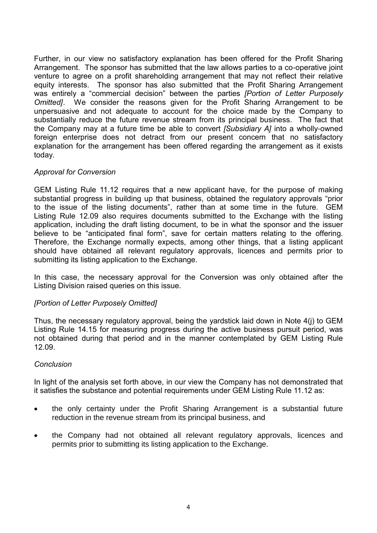Further, in our view no satisfactory explanation has been offered for the Profit Sharing Arrangement. The sponsor has submitted that the law allows parties to a co-operative joint venture to agree on a profit shareholding arrangement that may not reflect their relative equity interests. The sponsor has also submitted that the Profit Sharing Arrangement was entirely a "commercial decision" between the parties *[Portion of Letter Purposely Omitted]*. We consider the reasons given for the Profit Sharing Arrangement to be unpersuasive and not adequate to account for the choice made by the Company to substantially reduce the future revenue stream from its principal business. The fact that the Company may at a future time be able to convert *[Subsidiary A]* into a wholly-owned foreign enterprise does not detract from our present concern that no satisfactory explanation for the arrangement has been offered regarding the arrangement as it exists today.

### *Approval for Conversion*

GEM Listing Rule 11.12 requires that a new applicant have, for the purpose of making substantial progress in building up that business, obtained the regulatory approvals "prior to the issue of the listing documents", rather than at some time in the future. GEM Listing Rule 12.09 also requires documents submitted to the Exchange with the listing application, including the draft listing document, to be in what the sponsor and the issuer believe to be "anticipated final form", save for certain matters relating to the offering. Therefore, the Exchange normally expects, among other things, that a listing applicant should have obtained all relevant regulatory approvals, licences and permits prior to submitting its listing application to the Exchange.

In this case, the necessary approval for the Conversion was only obtained after the Listing Division raised queries on this issue.

## *[Portion of Letter Purposely Omitted]*

Thus, the necessary regulatory approval, being the yardstick laid down in Note 4(j) to GEM Listing Rule 14.15 for measuring progress during the active business pursuit period, was not obtained during that period and in the manner contemplated by GEM Listing Rule 12.09.

### *Conclusion*

In light of the analysis set forth above, in our view the Company has not demonstrated that it satisfies the substance and potential requirements under GEM Listing Rule 11.12 as:

- the only certainty under the Profit Sharing Arrangement is a substantial future reduction in the revenue stream from its principal business, and
- the Company had not obtained all relevant regulatory approvals, licences and permits prior to submitting its listing application to the Exchange.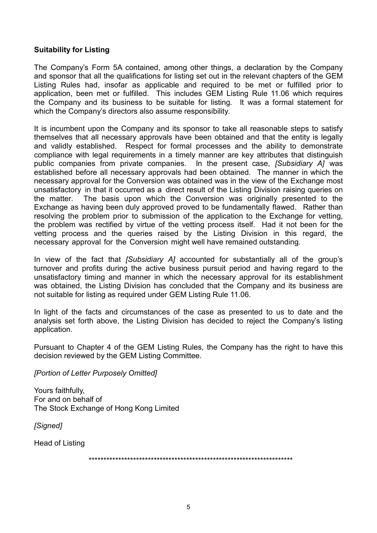### **Suitability for Listing**

The Company's Form 5A contained, among other things, a declaration by the Company and sponsor that all the qualifications for listing set out in the relevant chapters of the GEM Listing Rules had, insofar as applicable and required to be met or fulfilled prior to application, been met or fulfilled. This includes GEM Listing Rule 11.06 which requires the Company and its business to be suitable for listing. It was a formal statement for which the Company's directors also assume responsibility.

It is incumbent upon the Company and its sponsor to take all reasonable steps to satisfy themselves that all necessary approvals have been obtained and that the entity is legally and validly established. Respect for formal processes and the ability to demonstrate compliance with legal requirements in a timely manner are key attributes that distinguish public companies from private companies. In the present case, *[Subsidiary A]* was established before all necessary approvals had been obtained. The manner in which the necessary approval for the Conversion was obtained was in the view of the Exchange most unsatisfactory in that it occurred as a direct result of the Listing Division raising queries on the matter. The basis upon which the Conversion was originally presented to the Exchange as having been duly approved proved to be fundamentally flawed. Rather than resolving the problem prior to submission of the application to the Exchange for vetting, the problem was rectified by virtue of the vetting process itself. Had it not been for the vetting process and the queries raised by the Listing Division in this regard, the necessary approval for the Conversion might well have remained outstanding.

In view of the fact that *[Subsidiary A]* accounted for substantially all of the group's turnover and profits during the active business pursuit period and having regard to the unsatisfactory timing and manner in which the necessary approval for its establishment was obtained, the Listing Division has concluded that the Company and its business are not suitable for listing as required under GEM Listing Rule 11.06.

In light of the facts and circumstances of the case as presented to us to date and the analysis set forth above, the Listing Division has decided to reject the Company's listing application.

Pursuant to Chapter 4 of the GEM Listing Rules, the Company has the right to have this decision reviewed by the GEM Listing Committee.

*[Portion of Letter Purposely Omitted]*

Yours faithfully, For and on behalf of The Stock Exchange of Hong Kong Limited

*[Signed]*

Head of Listing

\*\*\*\*\*\*\*\*\*\*\*\*\*\*\*\*\*\*\*\*\*\*\*\*\*\*\*\*\*\*\*\*\*\*\*\*\*\*\*\*\*\*\*\*\*\*\*\*\*\*\*\*\*\*\*\*\*\*\*\*\*\*\*\*\*\*\*\*\*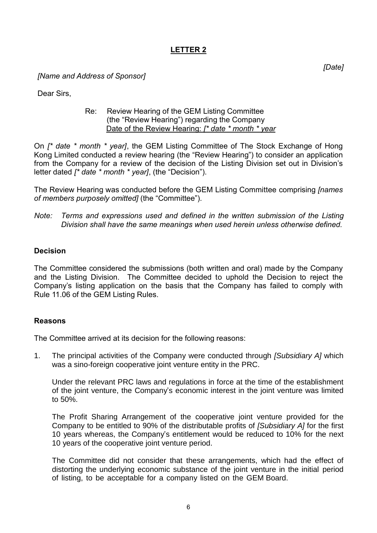# **LETTER 2**

*[Name and Address of Sponsor]*

Dear Sirs,

#### Re: Review Hearing of the GEM Listing Committee (the "Review Hearing") regarding the Company Date of the Review Hearing: *[\* date \* month \* year*

On *[\* date \* month \* year]*, the GEM Listing Committee of The Stock Exchange of Hong Kong Limited conducted a review hearing (the "Review Hearing") to consider an application from the Company for a review of the decision of the Listing Division set out in Division's letter dated *[\* date \* month \* year]*, (the "Decision").

The Review Hearing was conducted before the GEM Listing Committee comprising *[names of members purposely omitted]* (the "Committee").

*Note: Terms and expressions used and defined in the written submission of the Listing Division shall have the same meanings when used herein unless otherwise defined.*

### **Decision**

The Committee considered the submissions (both written and oral) made by the Company and the Listing Division. The Committee decided to uphold the Decision to reject the Company's listing application on the basis that the Company has failed to comply with Rule 11.06 of the GEM Listing Rules.

## **Reasons**

The Committee arrived at its decision for the following reasons:

1. The principal activities of the Company were conducted through *[Subsidiary A]* which was a sino-foreign cooperative joint venture entity in the PRC.

Under the relevant PRC laws and regulations in force at the time of the establishment of the joint venture, the Company's economic interest in the joint venture was limited to 50%.

The Profit Sharing Arrangement of the cooperative joint venture provided for the Company to be entitled to 90% of the distributable profits of *[Subsidiary A]* for the first 10 years whereas, the Company's entitlement would be reduced to 10% for the next 10 years of the cooperative joint venture period.

The Committee did not consider that these arrangements, which had the effect of distorting the underlying economic substance of the joint venture in the initial period of listing, to be acceptable for a company listed on the GEM Board.

*[Date]*